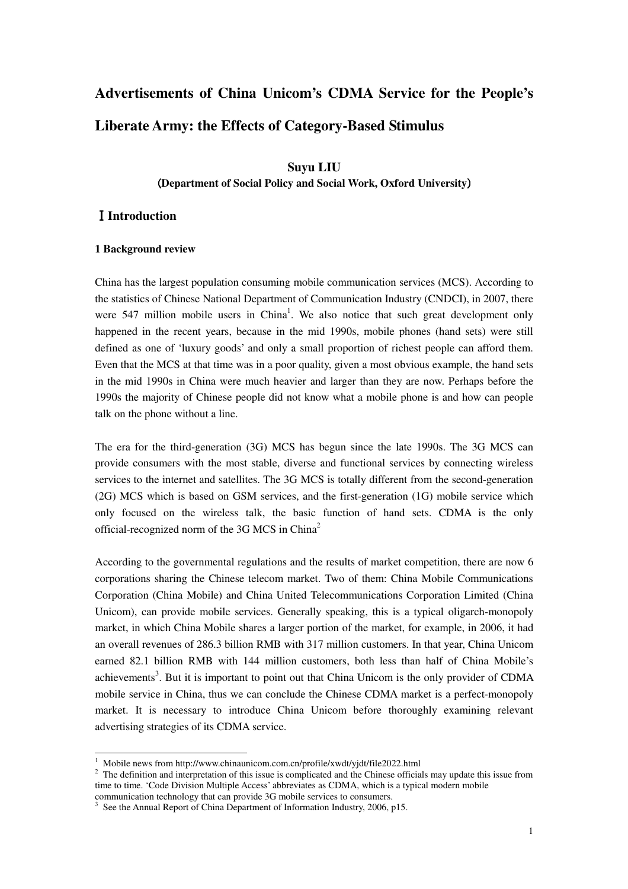# **Advertisements of China Unicom's CDMA Service for the People's Liberate Army: the Effects of Category-Based Stimulus**

# **Suyu LIU**

## (**Department of Social Policy and Social Work, Oxford University**)

## Ⅰ**Introduction**

#### **1 Background review**

China has the largest population consuming mobile communication services (MCS). According to the statistics of Chinese National Department of Communication Industry (CNDCI), in 2007, there were 547 million mobile users in China<sup>1</sup>. We also notice that such great development only happened in the recent years, because in the mid 1990s, mobile phones (hand sets) were still defined as one of 'luxury goods' and only a small proportion of richest people can afford them. Even that the MCS at that time was in a poor quality, given a most obvious example, the hand sets in the mid 1990s in China were much heavier and larger than they are now. Perhaps before the 1990s the majority of Chinese people did not know what a mobile phone is and how can people talk on the phone without a line.

The era for the third-generation (3G) MCS has begun since the late 1990s. The 3G MCS can provide consumers with the most stable, diverse and functional services by connecting wireless services to the internet and satellites. The 3G MCS is totally different from the second-generation (2G) MCS which is based on GSM services, and the first-generation (1G) mobile service which only focused on the wireless talk, the basic function of hand sets. CDMA is the only official-recognized norm of the 3G MCS in China<sup>2</sup>

According to the governmental regulations and the results of market competition, there are now 6 corporations sharing the Chinese telecom market. Two of them: China Mobile Communications Corporation (China Mobile) and China United Telecommunications Corporation Limited (China Unicom), can provide mobile services. Generally speaking, this is a typical oligarch-monopoly market, in which China Mobile shares a larger portion of the market, for example, in 2006, it had an overall revenues of 286.3 billion RMB with 317 million customers. In that year, China Unicom earned 82.1 billion RMB with 144 million customers, both less than half of China Mobile's achievements<sup>3</sup>. But it is important to point out that China Unicom is the only provider of CDMA mobile service in China, thus we can conclude the Chinese CDMA market is a perfect-monopoly market. It is necessary to introduce China Unicom before thoroughly examining relevant advertising strategies of its CDMA service.

 1 Mobile news from http://www.chinaunicom.com.cn/profile/xwdt/yjdt/file2022.html

<sup>&</sup>lt;sup>2</sup> The definition and interpretation of this issue is complicated and the Chinese officials may update this issue from time to time. 'Code Division Multiple Access' abbreviates as CDMA, which is a typical modern mobile

communication technology that can provide 3G mobile services to consumers.

<sup>&</sup>lt;sup>3</sup> See the Annual Report of China Department of Information Industry, 2006, p15.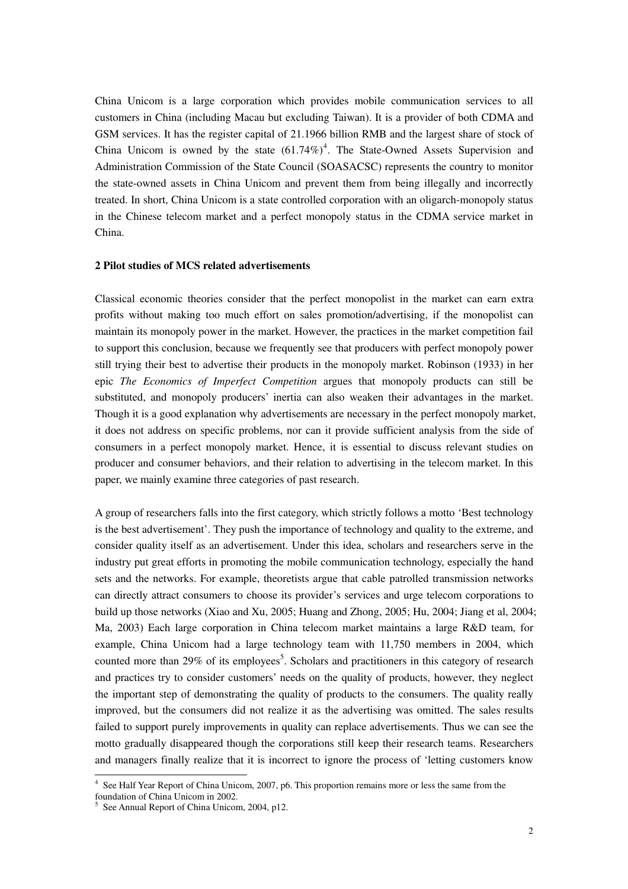China Unicom is a large corporation which provides mobile communication services to all customers in China (including Macau but excluding Taiwan). It is a provider of both CDMA and GSM services. It has the register capital of 21.1966 billion RMB and the largest share of stock of China Unicom is owned by the state  $(61.74\%)^4$ . The State-Owned Assets Supervision and Administration Commission of the State Council (SOASACSC) represents the country to monitor the state-owned assets in China Unicom and prevent them from being illegally and incorrectly treated. In short, China Unicom is a state controlled corporation with an oligarch-monopoly status in the Chinese telecom market and a perfect monopoly status in the CDMA service market in China.

#### **2 Pilot studies of MCS related advertisements**

Classical economic theories consider that the perfect monopolist in the market can earn extra profits without making too much effort on sales promotion/advertising, if the monopolist can maintain its monopoly power in the market. However, the practices in the market competition fail to support this conclusion, because we frequently see that producers with perfect monopoly power still trying their best to advertise their products in the monopoly market. Robinson (1933) in her epic *The Economics of Imperfect Competition* argues that monopoly products can still be substituted, and monopoly producers' inertia can also weaken their advantages in the market. Though it is a good explanation why advertisements are necessary in the perfect monopoly market, it does not address on specific problems, nor can it provide sufficient analysis from the side of consumers in a perfect monopoly market. Hence, it is essential to discuss relevant studies on producer and consumer behaviors, and their relation to advertising in the telecom market. In this paper, we mainly examine three categories of past research.

A group of researchers falls into the first category, which strictly follows a motto 'Best technology is the best advertisement'. They push the importance of technology and quality to the extreme, and consider quality itself as an advertisement. Under this idea, scholars and researchers serve in the industry put great efforts in promoting the mobile communication technology, especially the hand sets and the networks. For example, theoretists argue that cable patrolled transmission networks can directly attract consumers to choose its provider's services and urge telecom corporations to build up those networks (Xiao and Xu, 2005; Huang and Zhong, 2005; Hu, 2004; Jiang et al, 2004; Ma, 2003) Each large corporation in China telecom market maintains a large R&D team, for example, China Unicom had a large technology team with 11,750 members in 2004, which counted more than 29% of its employees<sup>5</sup>. Scholars and practitioners in this category of research and practices try to consider customers' needs on the quality of products, however, they neglect the important step of demonstrating the quality of products to the consumers. The quality really improved, but the consumers did not realize it as the advertising was omitted. The sales results failed to support purely improvements in quality can replace advertisements. Thus we can see the motto gradually disappeared though the corporations still keep their research teams. Researchers and managers finally realize that it is incorrect to ignore the process of 'letting customers know

 4 See Half Year Report of China Unicom, 2007, p6. This proportion remains more or less the same from the foundation of China Unicom in 2002.

<sup>&</sup>lt;sup>5</sup> See Annual Report of China Unicom, 2004, p12.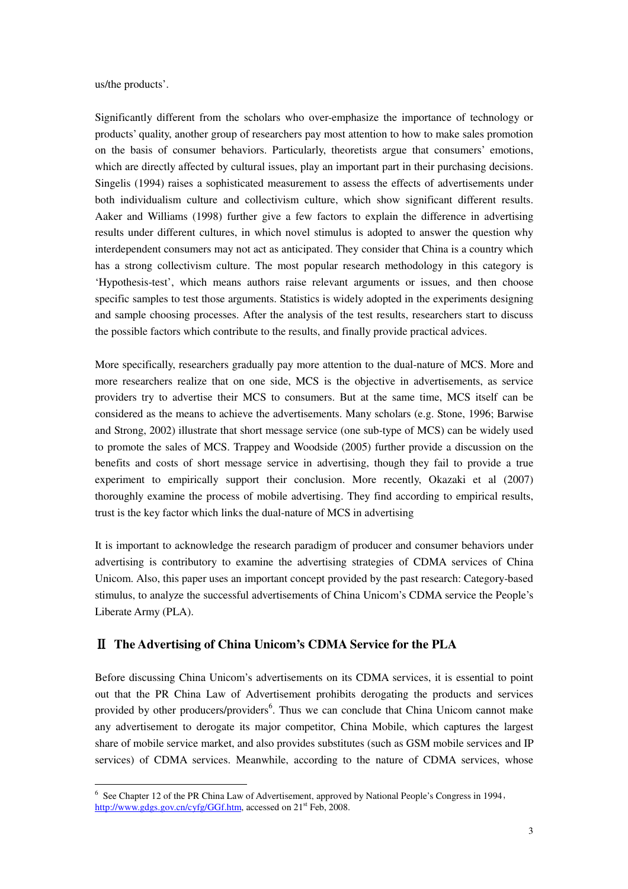us/the products'.

 $\ddot{ }$ 

Significantly different from the scholars who over-emphasize the importance of technology or products' quality, another group of researchers pay most attention to how to make sales promotion on the basis of consumer behaviors. Particularly, theoretists argue that consumers' emotions, which are directly affected by cultural issues, play an important part in their purchasing decisions. Singelis (1994) raises a sophisticated measurement to assess the effects of advertisements under both individualism culture and collectivism culture, which show significant different results. Aaker and Williams (1998) further give a few factors to explain the difference in advertising results under different cultures, in which novel stimulus is adopted to answer the question why interdependent consumers may not act as anticipated. They consider that China is a country which has a strong collectivism culture. The most popular research methodology in this category is 'Hypothesis-test', which means authors raise relevant arguments or issues, and then choose specific samples to test those arguments. Statistics is widely adopted in the experiments designing and sample choosing processes. After the analysis of the test results, researchers start to discuss the possible factors which contribute to the results, and finally provide practical advices.

More specifically, researchers gradually pay more attention to the dual-nature of MCS. More and more researchers realize that on one side, MCS is the objective in advertisements, as service providers try to advertise their MCS to consumers. But at the same time, MCS itself can be considered as the means to achieve the advertisements. Many scholars (e.g. Stone, 1996; Barwise and Strong, 2002) illustrate that short message service (one sub-type of MCS) can be widely used to promote the sales of MCS. Trappey and Woodside (2005) further provide a discussion on the benefits and costs of short message service in advertising, though they fail to provide a true experiment to empirically support their conclusion. More recently, Okazaki et al (2007) thoroughly examine the process of mobile advertising. They find according to empirical results, trust is the key factor which links the dual-nature of MCS in advertising

It is important to acknowledge the research paradigm of producer and consumer behaviors under advertising is contributory to examine the advertising strategies of CDMA services of China Unicom. Also, this paper uses an important concept provided by the past research: Category-based stimulus, to analyze the successful advertisements of China Unicom's CDMA service the People's Liberate Army (PLA).

### Ⅱ **The Advertising of China Unicom's CDMA Service for the PLA**

Before discussing China Unicom's advertisements on its CDMA services, it is essential to point out that the PR China Law of Advertisement prohibits derogating the products and services provided by other producers/providers<sup>6</sup>. Thus we can conclude that China Unicom cannot make any advertisement to derogate its major competitor, China Mobile, which captures the largest share of mobile service market, and also provides substitutes (such as GSM mobile services and IP services) of CDMA services. Meanwhile, according to the nature of CDMA services, whose

<sup>&</sup>lt;sup>6</sup> See Chapter 12 of the PR China Law of Advertisement, approved by National People's Congress in 1994, http://www.gdgs.gov.cn/cyfg/GGf.htm, accessed on 21<sup>st</sup> Feb, 2008.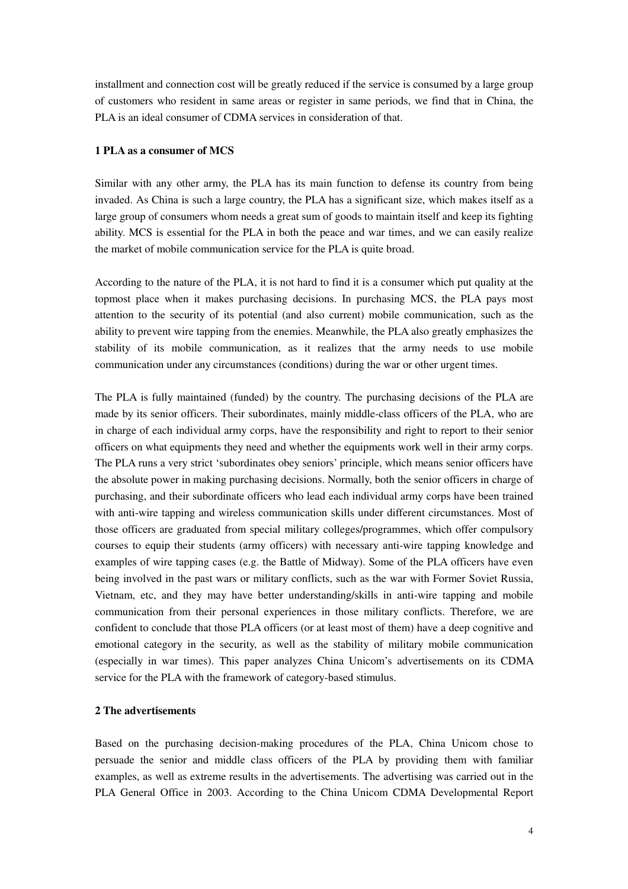installment and connection cost will be greatly reduced if the service is consumed by a large group of customers who resident in same areas or register in same periods, we find that in China, the PLA is an ideal consumer of CDMA services in consideration of that.

#### **1 PLA as a consumer of MCS**

Similar with any other army, the PLA has its main function to defense its country from being invaded. As China is such a large country, the PLA has a significant size, which makes itself as a large group of consumers whom needs a great sum of goods to maintain itself and keep its fighting ability. MCS is essential for the PLA in both the peace and war times, and we can easily realize the market of mobile communication service for the PLA is quite broad.

According to the nature of the PLA, it is not hard to find it is a consumer which put quality at the topmost place when it makes purchasing decisions. In purchasing MCS, the PLA pays most attention to the security of its potential (and also current) mobile communication, such as the ability to prevent wire tapping from the enemies. Meanwhile, the PLA also greatly emphasizes the stability of its mobile communication, as it realizes that the army needs to use mobile communication under any circumstances (conditions) during the war or other urgent times.

The PLA is fully maintained (funded) by the country. The purchasing decisions of the PLA are made by its senior officers. Their subordinates, mainly middle-class officers of the PLA, who are in charge of each individual army corps, have the responsibility and right to report to their senior officers on what equipments they need and whether the equipments work well in their army corps. The PLA runs a very strict 'subordinates obey seniors' principle, which means senior officers have the absolute power in making purchasing decisions. Normally, both the senior officers in charge of purchasing, and their subordinate officers who lead each individual army corps have been trained with anti-wire tapping and wireless communication skills under different circumstances. Most of those officers are graduated from special military colleges/programmes, which offer compulsory courses to equip their students (army officers) with necessary anti-wire tapping knowledge and examples of wire tapping cases (e.g. the Battle of Midway). Some of the PLA officers have even being involved in the past wars or military conflicts, such as the war with Former Soviet Russia, Vietnam, etc, and they may have better understanding/skills in anti-wire tapping and mobile communication from their personal experiences in those military conflicts. Therefore, we are confident to conclude that those PLA officers (or at least most of them) have a deep cognitive and emotional category in the security, as well as the stability of military mobile communication (especially in war times). This paper analyzes China Unicom's advertisements on its CDMA service for the PLA with the framework of category-based stimulus.

#### **2 The advertisements**

Based on the purchasing decision-making procedures of the PLA, China Unicom chose to persuade the senior and middle class officers of the PLA by providing them with familiar examples, as well as extreme results in the advertisements. The advertising was carried out in the PLA General Office in 2003. According to the China Unicom CDMA Developmental Report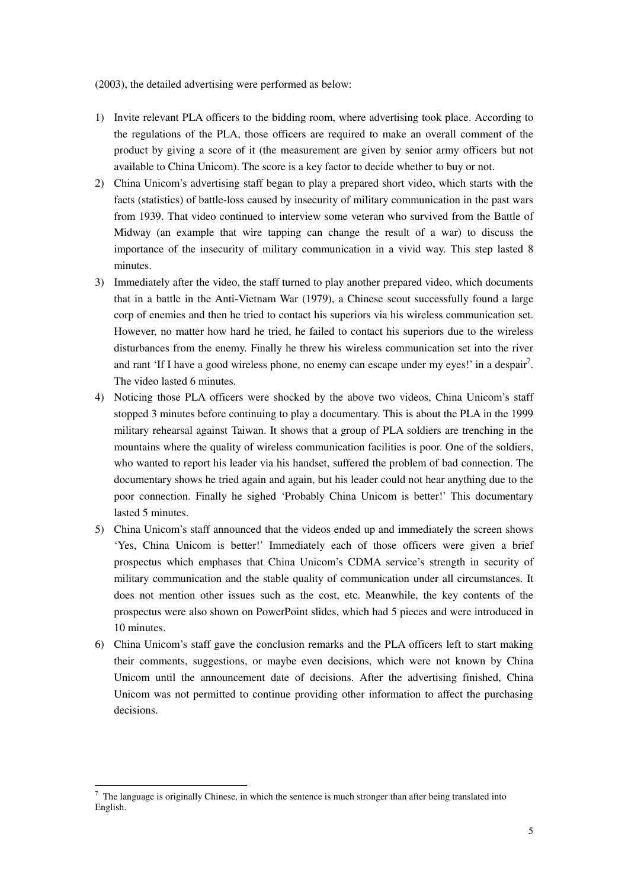(2003), the detailed advertising were performed as below:

- 1) Invite relevant PLA officers to the bidding room, where advertising took place. According to the regulations of the PLA, those officers are required to make an overall comment of the product by giving a score of it (the measurement are given by senior army officers but not available to China Unicom). The score is a key factor to decide whether to buy or not.
- 2) China Unicom's advertising staff began to play a prepared short video, which starts with the facts (statistics) of battle-loss caused by insecurity of military communication in the past wars from 1939. That video continued to interview some veteran who survived from the Battle of Midway (an example that wire tapping can change the result of a war) to discuss the importance of the insecurity of military communication in a vivid way. This step lasted 8 minutes.
- 3) Immediately after the video, the staff turned to play another prepared video, which documents that in a battle in the Anti-Vietnam War (1979), a Chinese scout successfully found a large corp of enemies and then he tried to contact his superiors via his wireless communication set. However, no matter how hard he tried, he failed to contact his superiors due to the wireless disturbances from the enemy. Finally he threw his wireless communication set into the river and rant 'If I have a good wireless phone, no enemy can escape under my eyes!' in a despair<sup>7</sup>. The video lasted 6 minutes.
- 4) Noticing those PLA officers were shocked by the above two videos, China Unicom's staff stopped 3 minutes before continuing to play a documentary. This is about the PLA in the 1999 military rehearsal against Taiwan. It shows that a group of PLA soldiers are trenching in the mountains where the quality of wireless communication facilities is poor. One of the soldiers, who wanted to report his leader via his handset, suffered the problem of bad connection. The documentary shows he tried again and again, but his leader could not hear anything due to the poor connection. Finally he sighed 'Probably China Unicom is better!' This documentary lasted 5 minutes.
- 5) China Unicom's staff announced that the videos ended up and immediately the screen shows 'Yes, China Unicom is better!' Immediately each of those officers were given a brief prospectus which emphases that China Unicom's CDMA service's strength in security of military communication and the stable quality of communication under all circumstances. It does not mention other issues such as the cost, etc. Meanwhile, the key contents of the prospectus were also shown on PowerPoint slides, which had 5 pieces and were introduced in 10 minutes.
- 6) China Unicom's staff gave the conclusion remarks and the PLA officers left to start making their comments, suggestions, or maybe even decisions, which were not known by China Unicom until the announcement date of decisions. After the advertising finished, China Unicom was not permitted to continue providing other information to affect the purchasing decisions.

 $\ddot{ }$  $7$  The language is originally Chinese, in which the sentence is much stronger than after being translated into English.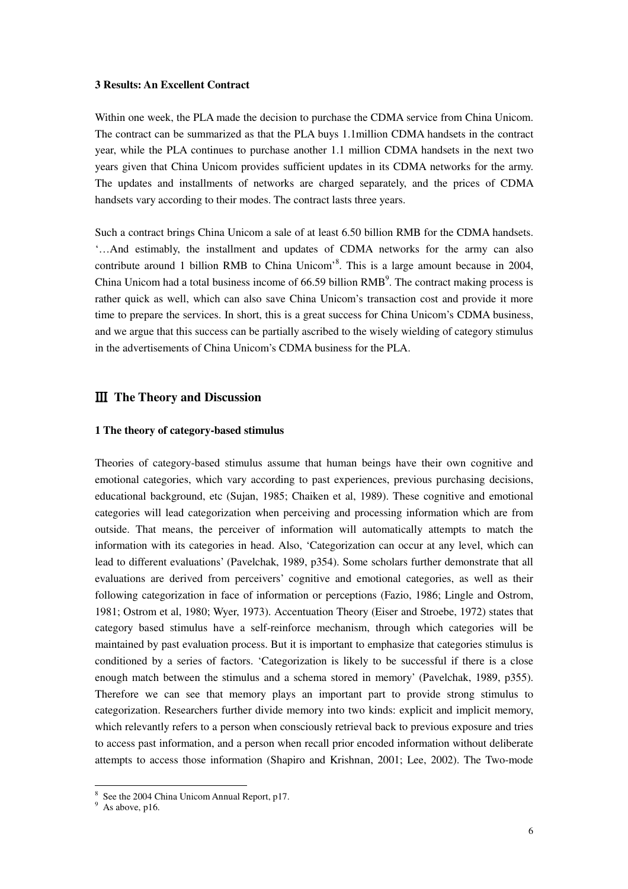#### **3 Results: An Excellent Contract**

Within one week, the PLA made the decision to purchase the CDMA service from China Unicom. The contract can be summarized as that the PLA buys 1.1million CDMA handsets in the contract year, while the PLA continues to purchase another 1.1 million CDMA handsets in the next two years given that China Unicom provides sufficient updates in its CDMA networks for the army. The updates and installments of networks are charged separately, and the prices of CDMA handsets vary according to their modes. The contract lasts three years.

Such a contract brings China Unicom a sale of at least 6.50 billion RMB for the CDMA handsets. '…And estimably, the installment and updates of CDMA networks for the army can also contribute around 1 billion RMB to China Unicom<sup>38</sup>. This is a large amount because in 2004, China Unicom had a total business income of  $66.59$  billion  $RMB<sup>9</sup>$ . The contract making process is rather quick as well, which can also save China Unicom's transaction cost and provide it more time to prepare the services. In short, this is a great success for China Unicom's CDMA business, and we argue that this success can be partially ascribed to the wisely wielding of category stimulus in the advertisements of China Unicom's CDMA business for the PLA.

## Ⅲ **The Theory and Discussion**

#### **1 The theory of category-based stimulus**

Theories of category-based stimulus assume that human beings have their own cognitive and emotional categories, which vary according to past experiences, previous purchasing decisions, educational background, etc (Sujan, 1985; Chaiken et al, 1989). These cognitive and emotional categories will lead categorization when perceiving and processing information which are from outside. That means, the perceiver of information will automatically attempts to match the information with its categories in head. Also, 'Categorization can occur at any level, which can lead to different evaluations' (Pavelchak, 1989, p354). Some scholars further demonstrate that all evaluations are derived from perceivers' cognitive and emotional categories, as well as their following categorization in face of information or perceptions (Fazio, 1986; Lingle and Ostrom, 1981; Ostrom et al, 1980; Wyer, 1973). Accentuation Theory (Eiser and Stroebe, 1972) states that category based stimulus have a self-reinforce mechanism, through which categories will be maintained by past evaluation process. But it is important to emphasize that categories stimulus is conditioned by a series of factors. 'Categorization is likely to be successful if there is a close enough match between the stimulus and a schema stored in memory' (Pavelchak, 1989, p355). Therefore we can see that memory plays an important part to provide strong stimulus to categorization. Researchers further divide memory into two kinds: explicit and implicit memory, which relevantly refers to a person when consciously retrieval back to previous exposure and tries to access past information, and a person when recall prior encoded information without deliberate attempts to access those information (Shapiro and Krishnan, 2001; Lee, 2002). The Two-mode

 8 See the 2004 China Unicom Annual Report, p17.

 $9$  As above, p16.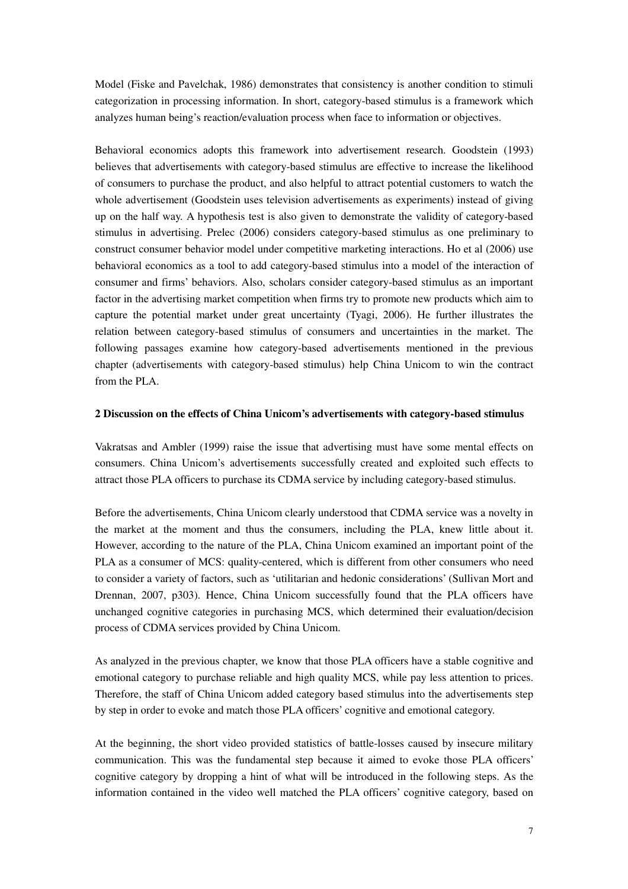Model (Fiske and Pavelchak, 1986) demonstrates that consistency is another condition to stimuli categorization in processing information. In short, category-based stimulus is a framework which analyzes human being's reaction/evaluation process when face to information or objectives.

Behavioral economics adopts this framework into advertisement research. Goodstein (1993) believes that advertisements with category-based stimulus are effective to increase the likelihood of consumers to purchase the product, and also helpful to attract potential customers to watch the whole advertisement (Goodstein uses television advertisements as experiments) instead of giving up on the half way. A hypothesis test is also given to demonstrate the validity of category-based stimulus in advertising. Prelec (2006) considers category-based stimulus as one preliminary to construct consumer behavior model under competitive marketing interactions. Ho et al (2006) use behavioral economics as a tool to add category-based stimulus into a model of the interaction of consumer and firms' behaviors. Also, scholars consider category-based stimulus as an important factor in the advertising market competition when firms try to promote new products which aim to capture the potential market under great uncertainty (Tyagi, 2006). He further illustrates the relation between category-based stimulus of consumers and uncertainties in the market. The following passages examine how category-based advertisements mentioned in the previous chapter (advertisements with category-based stimulus) help China Unicom to win the contract from the PLA.

#### **2 Discussion on the effects of China Unicom's advertisements with category-based stimulus**

Vakratsas and Ambler (1999) raise the issue that advertising must have some mental effects on consumers. China Unicom's advertisements successfully created and exploited such effects to attract those PLA officers to purchase its CDMA service by including category-based stimulus.

Before the advertisements, China Unicom clearly understood that CDMA service was a novelty in the market at the moment and thus the consumers, including the PLA, knew little about it. However, according to the nature of the PLA, China Unicom examined an important point of the PLA as a consumer of MCS: quality-centered, which is different from other consumers who need to consider a variety of factors, such as 'utilitarian and hedonic considerations' (Sullivan Mort and Drennan, 2007, p303). Hence, China Unicom successfully found that the PLA officers have unchanged cognitive categories in purchasing MCS, which determined their evaluation/decision process of CDMA services provided by China Unicom.

As analyzed in the previous chapter, we know that those PLA officers have a stable cognitive and emotional category to purchase reliable and high quality MCS, while pay less attention to prices. Therefore, the staff of China Unicom added category based stimulus into the advertisements step by step in order to evoke and match those PLA officers' cognitive and emotional category.

At the beginning, the short video provided statistics of battle-losses caused by insecure military communication. This was the fundamental step because it aimed to evoke those PLA officers' cognitive category by dropping a hint of what will be introduced in the following steps. As the information contained in the video well matched the PLA officers' cognitive category, based on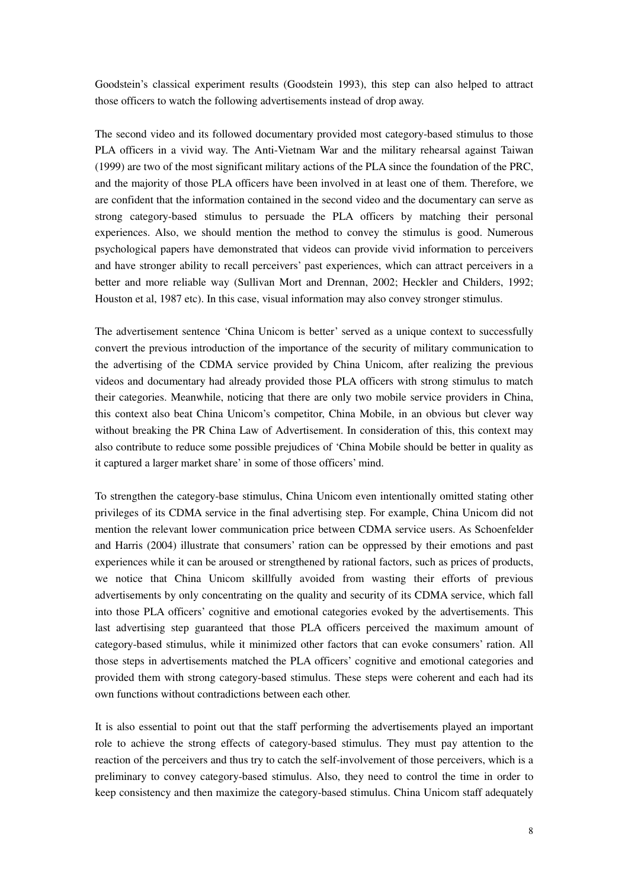Goodstein's classical experiment results (Goodstein 1993), this step can also helped to attract those officers to watch the following advertisements instead of drop away.

The second video and its followed documentary provided most category-based stimulus to those PLA officers in a vivid way. The Anti-Vietnam War and the military rehearsal against Taiwan (1999) are two of the most significant military actions of the PLA since the foundation of the PRC, and the majority of those PLA officers have been involved in at least one of them. Therefore, we are confident that the information contained in the second video and the documentary can serve as strong category-based stimulus to persuade the PLA officers by matching their personal experiences. Also, we should mention the method to convey the stimulus is good. Numerous psychological papers have demonstrated that videos can provide vivid information to perceivers and have stronger ability to recall perceivers' past experiences, which can attract perceivers in a better and more reliable way (Sullivan Mort and Drennan, 2002; Heckler and Childers, 1992; Houston et al, 1987 etc). In this case, visual information may also convey stronger stimulus.

The advertisement sentence 'China Unicom is better' served as a unique context to successfully convert the previous introduction of the importance of the security of military communication to the advertising of the CDMA service provided by China Unicom, after realizing the previous videos and documentary had already provided those PLA officers with strong stimulus to match their categories. Meanwhile, noticing that there are only two mobile service providers in China, this context also beat China Unicom's competitor, China Mobile, in an obvious but clever way without breaking the PR China Law of Advertisement. In consideration of this, this context may also contribute to reduce some possible prejudices of 'China Mobile should be better in quality as it captured a larger market share' in some of those officers' mind.

To strengthen the category-base stimulus, China Unicom even intentionally omitted stating other privileges of its CDMA service in the final advertising step. For example, China Unicom did not mention the relevant lower communication price between CDMA service users. As Schoenfelder and Harris (2004) illustrate that consumers' ration can be oppressed by their emotions and past experiences while it can be aroused or strengthened by rational factors, such as prices of products, we notice that China Unicom skillfully avoided from wasting their efforts of previous advertisements by only concentrating on the quality and security of its CDMA service, which fall into those PLA officers' cognitive and emotional categories evoked by the advertisements. This last advertising step guaranteed that those PLA officers perceived the maximum amount of category-based stimulus, while it minimized other factors that can evoke consumers' ration. All those steps in advertisements matched the PLA officers' cognitive and emotional categories and provided them with strong category-based stimulus. These steps were coherent and each had its own functions without contradictions between each other.

It is also essential to point out that the staff performing the advertisements played an important role to achieve the strong effects of category-based stimulus. They must pay attention to the reaction of the perceivers and thus try to catch the self-involvement of those perceivers, which is a preliminary to convey category-based stimulus. Also, they need to control the time in order to keep consistency and then maximize the category-based stimulus. China Unicom staff adequately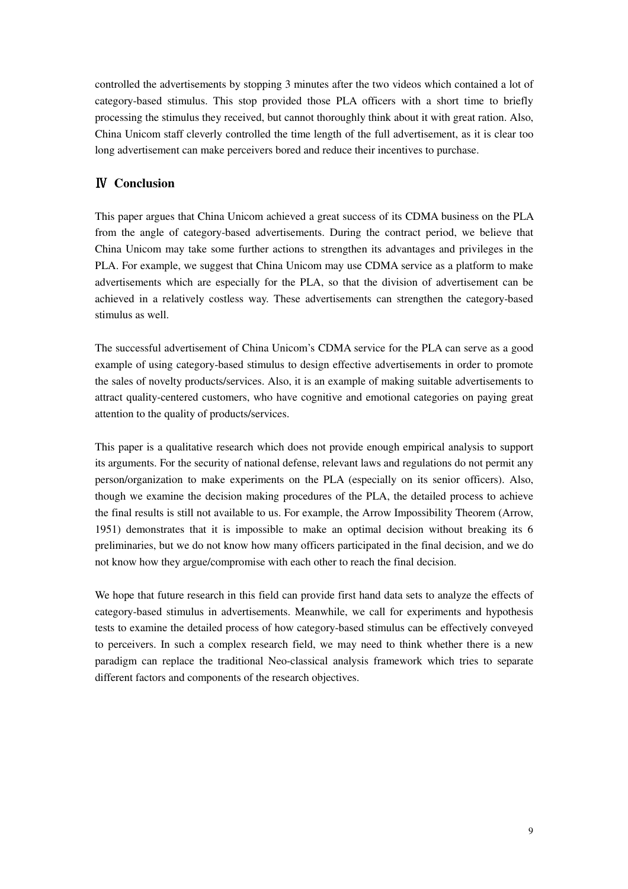controlled the advertisements by stopping 3 minutes after the two videos which contained a lot of category-based stimulus. This stop provided those PLA officers with a short time to briefly processing the stimulus they received, but cannot thoroughly think about it with great ration. Also, China Unicom staff cleverly controlled the time length of the full advertisement, as it is clear too long advertisement can make perceivers bored and reduce their incentives to purchase.

# Ⅳ **Conclusion**

This paper argues that China Unicom achieved a great success of its CDMA business on the PLA from the angle of category-based advertisements. During the contract period, we believe that China Unicom may take some further actions to strengthen its advantages and privileges in the PLA. For example, we suggest that China Unicom may use CDMA service as a platform to make advertisements which are especially for the PLA, so that the division of advertisement can be achieved in a relatively costless way. These advertisements can strengthen the category-based stimulus as well.

The successful advertisement of China Unicom's CDMA service for the PLA can serve as a good example of using category-based stimulus to design effective advertisements in order to promote the sales of novelty products/services. Also, it is an example of making suitable advertisements to attract quality-centered customers, who have cognitive and emotional categories on paying great attention to the quality of products/services.

This paper is a qualitative research which does not provide enough empirical analysis to support its arguments. For the security of national defense, relevant laws and regulations do not permit any person/organization to make experiments on the PLA (especially on its senior officers). Also, though we examine the decision making procedures of the PLA, the detailed process to achieve the final results is still not available to us. For example, the Arrow Impossibility Theorem (Arrow, 1951) demonstrates that it is impossible to make an optimal decision without breaking its 6 preliminaries, but we do not know how many officers participated in the final decision, and we do not know how they argue/compromise with each other to reach the final decision.

We hope that future research in this field can provide first hand data sets to analyze the effects of category-based stimulus in advertisements. Meanwhile, we call for experiments and hypothesis tests to examine the detailed process of how category-based stimulus can be effectively conveyed to perceivers. In such a complex research field, we may need to think whether there is a new paradigm can replace the traditional Neo-classical analysis framework which tries to separate different factors and components of the research objectives.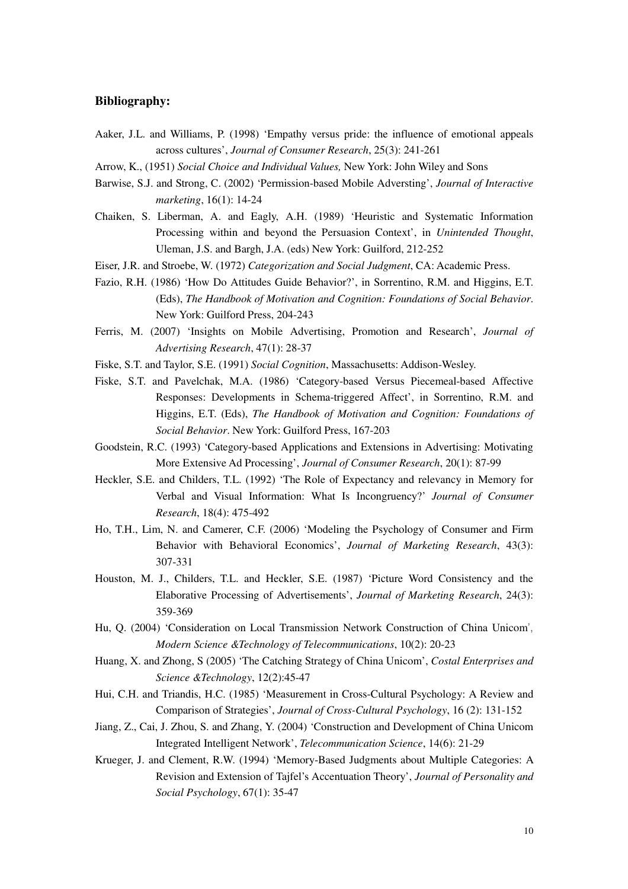## **Bibliography:**

- Aaker, J.L. and Williams, P. (1998) 'Empathy versus pride: the influence of emotional appeals across cultures', *Journal of Consumer Research*, 25(3): 241-261
- Arrow, K., (1951) *Social Choice and Individual Values,* New York: John Wiley and Sons
- Barwise, S.J. and Strong, C. (2002) 'Permission-based Mobile Adversting', *Journal of Interactive marketing*, 16(1): 14-24
- Chaiken, S. Liberman, A. and Eagly, A.H. (1989) 'Heuristic and Systematic Information Processing within and beyond the Persuasion Context', in *Unintended Thought*, Uleman, J.S. and Bargh, J.A. (eds) New York: Guilford, 212-252
- Eiser, J.R. and Stroebe, W. (1972) *Categorization and Social Judgment*, CA: Academic Press.
- Fazio, R.H. (1986) 'How Do Attitudes Guide Behavior?', in Sorrentino, R.M. and Higgins, E.T. (Eds), *The Handbook of Motivation and Cognition: Foundations of Social Behavior*. New York: Guilford Press, 204-243
- Ferris, M. (2007) 'Insights on Mobile Advertising, Promotion and Research', *Journal of Advertising Research*, 47(1): 28-37
- Fiske, S.T. and Taylor, S.E. (1991) *Social Cognition*, Massachusetts: Addison-Wesley.
- Fiske, S.T. and Pavelchak, M.A. (1986) 'Category-based Versus Piecemeal-based Affective Responses: Developments in Schema-triggered Affect', in Sorrentino, R.M. and Higgins, E.T. (Eds), *The Handbook of Motivation and Cognition: Foundations of Social Behavior*. New York: Guilford Press, 167-203
- Goodstein, R.C. (1993) 'Category-based Applications and Extensions in Advertising: Motivating More Extensive Ad Processing', *Journal of Consumer Research*, 20(1): 87-99
- Heckler, S.E. and Childers, T.L. (1992) 'The Role of Expectancy and relevancy in Memory for Verbal and Visual Information: What Is Incongruency?' *Journal of Consumer Research*, 18(4): 475-492
- Ho, T.H., Lim, N. and Camerer, C.F. (2006) 'Modeling the Psychology of Consumer and Firm Behavior with Behavioral Economics', *Journal of Marketing Research*, 43(3): 307-331
- Houston, M. J., Childers, T.L. and Heckler, S.E. (1987) 'Picture Word Consistency and the Elaborative Processing of Advertisements', *Journal of Marketing Research*, 24(3): 359-369
- Hu, Q. (2004) 'Consideration on Local Transmission Network Construction of China Unicom', *Modern Science &Technology of Telecommunications*, 10(2): 20-23
- Huang, X. and Zhong, S (2005) 'The Catching Strategy of China Unicom', *Costal Enterprises and Science &Technology*, 12(2):45-47
- Hui, C.H. and Triandis, H.C. (1985) 'Measurement in Cross-Cultural Psychology: A Review and Comparison of Strategies', *Journal of Cross-Cultural Psychology*, 16 (2): 131-152
- Jiang, Z., Cai, J. Zhou, S. and Zhang, Y. (2004) 'Construction and Development of China Unicom Integrated Intelligent Network', *Telecommunication Science*, 14(6): 21-29
- Krueger, J. and Clement, R.W. (1994) 'Memory-Based Judgments about Multiple Categories: A Revision and Extension of Tajfel's Accentuation Theory', *Journal of Personality and Social Psychology*, 67(1): 35-47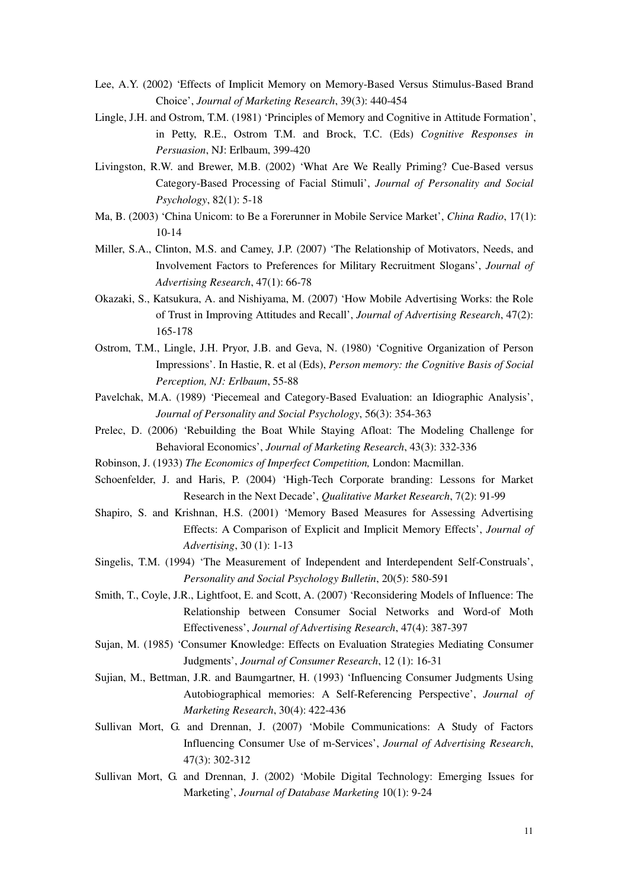- Lee, A.Y. (2002) 'Effects of Implicit Memory on Memory-Based Versus Stimulus-Based Brand Choice', *Journal of Marketing Research*, 39(3): 440-454
- Lingle, J.H. and Ostrom, T.M. (1981) 'Principles of Memory and Cognitive in Attitude Formation', in Petty, R.E., Ostrom T.M. and Brock, T.C. (Eds) *Cognitive Responses in Persuasion*, NJ: Erlbaum, 399-420
- Livingston, R.W. and Brewer, M.B. (2002) 'What Are We Really Priming? Cue-Based versus Category-Based Processing of Facial Stimuli', *Journal of Personality and Social Psychology*, 82(1): 5-18
- Ma, B. (2003) 'China Unicom: to Be a Forerunner in Mobile Service Market', *China Radio*, 17(1): 10-14
- Miller, S.A., Clinton, M.S. and Camey, J.P. (2007) 'The Relationship of Motivators, Needs, and Involvement Factors to Preferences for Military Recruitment Slogans', *Journal of Advertising Research*, 47(1): 66-78
- Okazaki, S., Katsukura, A. and Nishiyama, M. (2007) 'How Mobile Advertising Works: the Role of Trust in Improving Attitudes and Recall', *Journal of Advertising Research*, 47(2): 165-178
- Ostrom, T.M., Lingle, J.H. Pryor, J.B. and Geva, N. (1980) 'Cognitive Organization of Person Impressions'. In Hastie, R. et al (Eds), *Person memory: the Cognitive Basis of Social Perception, NJ: Erlbaum*, 55-88
- Pavelchak, M.A. (1989) 'Piecemeal and Category-Based Evaluation: an Idiographic Analysis', *Journal of Personality and Social Psychology*, 56(3): 354-363
- Prelec, D. (2006) 'Rebuilding the Boat While Staying Afloat: The Modeling Challenge for Behavioral Economics', *Journal of Marketing Research*, 43(3): 332-336
- Robinson, J. (1933) *The Economics of Imperfect Competition,* London: Macmillan.
- Schoenfelder, J. and Haris, P. (2004) 'High-Tech Corporate branding: Lessons for Market Research in the Next Decade', *Qualitative Market Research*, 7(2): 91-99
- Shapiro, S. and Krishnan, H.S. (2001) 'Memory Based Measures for Assessing Advertising Effects: A Comparison of Explicit and Implicit Memory Effects', *Journal of Advertising*, 30 (1): 1-13
- Singelis, T.M. (1994) 'The Measurement of Independent and Interdependent Self-Construals', *Personality and Social Psychology Bulletin*, 20(5): 580-591
- Smith, T., Coyle, J.R., Lightfoot, E. and Scott, A. (2007) 'Reconsidering Models of Influence: The Relationship between Consumer Social Networks and Word-of Moth Effectiveness', *Journal of Advertising Research*, 47(4): 387-397
- Sujan, M. (1985) 'Consumer Knowledge: Effects on Evaluation Strategies Mediating Consumer Judgments', *Journal of Consumer Research*, 12 (1): 16-31
- Sujian, M., Bettman, J.R. and Baumgartner, H. (1993) 'Influencing Consumer Judgments Using Autobiographical memories: A Self-Referencing Perspective', *Journal of Marketing Research*, 30(4): 422-436
- Sullivan Mort, G. and Drennan, J. (2007) 'Mobile Communications: A Study of Factors Influencing Consumer Use of m-Services', *Journal of Advertising Research*, 47(3): 302-312
- Sullivan Mort, G. and Drennan, J. (2002) 'Mobile Digital Technology: Emerging Issues for Marketing', *Journal of Database Marketing* 10(1): 9-24